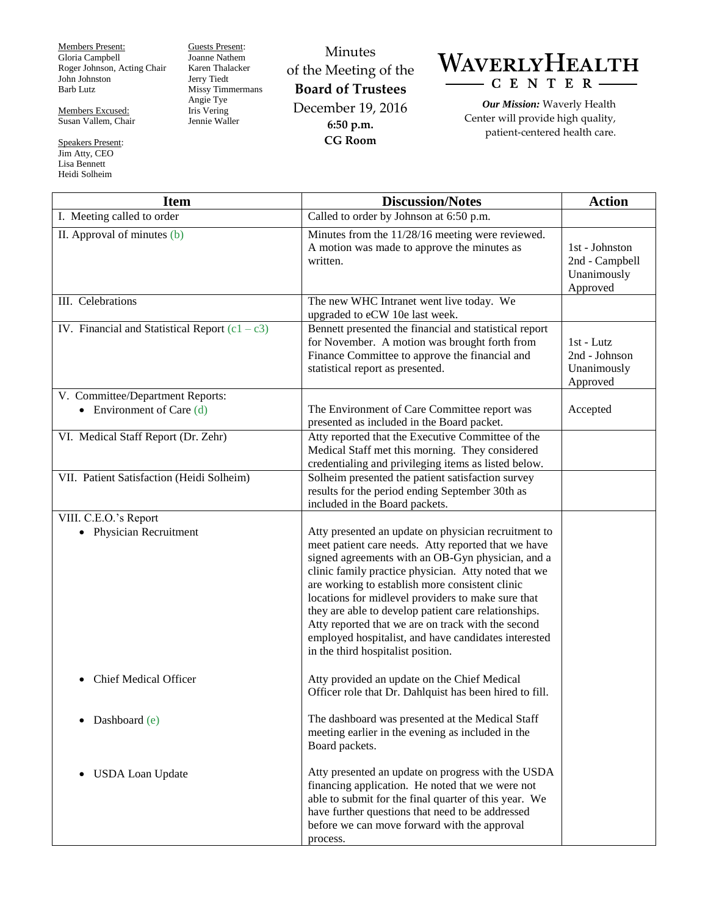Members Present: Gloria Campbell Roger Johnson, Acting Chair John Johnston Barb Lutz

Members Excused: Susan Vallem, Chair

Speakers Present: Jim Atty, CEO Lisa Bennett Heidi Solheim

Guests Present: Joanne Nathem Karen Thalacker Jerry Tiedt Missy Timmermans Angie Tye Iris Vering Jennie Waller

Minutes of the Meeting of the **Board of Trustees** December 19, 2016 **6:50 p.m. CG Room**



*Our Mission:* Waverly Health Center will provide high quality, patient-centered health care.

| <b>Item</b>                                                     | <b>Discussion/Notes</b>                                                                                                                                                                                                                                                                                                                                                                                                                                                                                                                       | <b>Action</b>                                               |
|-----------------------------------------------------------------|-----------------------------------------------------------------------------------------------------------------------------------------------------------------------------------------------------------------------------------------------------------------------------------------------------------------------------------------------------------------------------------------------------------------------------------------------------------------------------------------------------------------------------------------------|-------------------------------------------------------------|
| I. Meeting called to order                                      | Called to order by Johnson at 6:50 p.m.                                                                                                                                                                                                                                                                                                                                                                                                                                                                                                       |                                                             |
| II. Approval of minutes (b)                                     | Minutes from the 11/28/16 meeting were reviewed.<br>A motion was made to approve the minutes as<br>written.                                                                                                                                                                                                                                                                                                                                                                                                                                   | 1st - Johnston<br>2nd - Campbell<br>Unanimously<br>Approved |
| III. Celebrations                                               | The new WHC Intranet went live today. We<br>upgraded to eCW 10e last week.                                                                                                                                                                                                                                                                                                                                                                                                                                                                    |                                                             |
| IV. Financial and Statistical Report $(c1 - c3)$                | Bennett presented the financial and statistical report<br>for November. A motion was brought forth from<br>Finance Committee to approve the financial and<br>statistical report as presented.                                                                                                                                                                                                                                                                                                                                                 | 1st - Lutz<br>2nd - Johnson<br>Unanimously<br>Approved      |
| V. Committee/Department Reports:<br>• Environment of Care $(d)$ | The Environment of Care Committee report was<br>presented as included in the Board packet.                                                                                                                                                                                                                                                                                                                                                                                                                                                    | Accepted                                                    |
| VI. Medical Staff Report (Dr. Zehr)                             | Atty reported that the Executive Committee of the<br>Medical Staff met this morning. They considered<br>credentialing and privileging items as listed below.                                                                                                                                                                                                                                                                                                                                                                                  |                                                             |
| VII. Patient Satisfaction (Heidi Solheim)                       | Solheim presented the patient satisfaction survey<br>results for the period ending September 30th as<br>included in the Board packets.                                                                                                                                                                                                                                                                                                                                                                                                        |                                                             |
| VIII. C.E.O.'s Report                                           |                                                                                                                                                                                                                                                                                                                                                                                                                                                                                                                                               |                                                             |
| • Physician Recruitment                                         | Atty presented an update on physician recruitment to<br>meet patient care needs. Atty reported that we have<br>signed agreements with an OB-Gyn physician, and a<br>clinic family practice physician. Atty noted that we<br>are working to establish more consistent clinic<br>locations for midlevel providers to make sure that<br>they are able to develop patient care relationships.<br>Atty reported that we are on track with the second<br>employed hospitalist, and have candidates interested<br>in the third hospitalist position. |                                                             |
| <b>Chief Medical Officer</b><br>$\bullet$                       | Atty provided an update on the Chief Medical<br>Officer role that Dr. Dahlquist has been hired to fill.                                                                                                                                                                                                                                                                                                                                                                                                                                       |                                                             |
| Dashboard (e)                                                   | The dashboard was presented at the Medical Staff<br>meeting earlier in the evening as included in the<br>Board packets.                                                                                                                                                                                                                                                                                                                                                                                                                       |                                                             |
| <b>USDA Loan Update</b><br>$\bullet$                            | Atty presented an update on progress with the USDA<br>financing application. He noted that we were not<br>able to submit for the final quarter of this year. We<br>have further questions that need to be addressed<br>before we can move forward with the approval<br>process.                                                                                                                                                                                                                                                               |                                                             |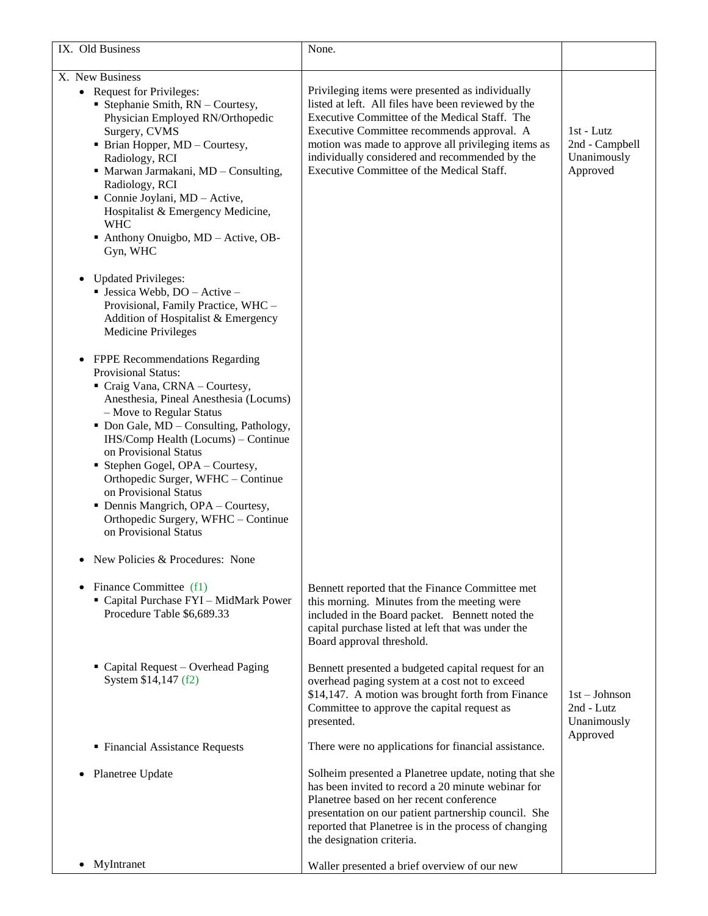| IX. Old Business                                                                                                                                                                                                                                                                                                                                                                                                                                                                                                                     | None.                                                                                                                                                                                                                                                                                                                                                        |                                                          |
|--------------------------------------------------------------------------------------------------------------------------------------------------------------------------------------------------------------------------------------------------------------------------------------------------------------------------------------------------------------------------------------------------------------------------------------------------------------------------------------------------------------------------------------|--------------------------------------------------------------------------------------------------------------------------------------------------------------------------------------------------------------------------------------------------------------------------------------------------------------------------------------------------------------|----------------------------------------------------------|
| X. New Business                                                                                                                                                                                                                                                                                                                                                                                                                                                                                                                      |                                                                                                                                                                                                                                                                                                                                                              |                                                          |
| • Request for Privileges:<br><b>Stephanie Smith, <math>RN -</math>Courtesy,</b><br>Physician Employed RN/Orthopedic<br>Surgery, CVMS<br>• Brian Hopper, MD - Courtesy,<br>Radiology, RCI<br>• Marwan Jarmakani, MD - Consulting,<br>Radiology, RCI<br>Connie Joylani, MD - Active,<br>Hospitalist & Emergency Medicine,<br><b>WHC</b><br>Anthony Onuigbo, MD - Active, OB-<br>Gyn, WHC                                                                                                                                               | Privileging items were presented as individually<br>listed at left. All files have been reviewed by the<br>Executive Committee of the Medical Staff. The<br>Executive Committee recommends approval. A<br>motion was made to approve all privileging items as<br>individually considered and recommended by the<br>Executive Committee of the Medical Staff. | 1st - Lutz<br>2nd - Campbell<br>Unanimously<br>Approved  |
| <b>Updated Privileges:</b><br>$\bullet$<br>· Jessica Webb, DO - Active -<br>Provisional, Family Practice, WHC -<br>Addition of Hospitalist & Emergency<br><b>Medicine Privileges</b>                                                                                                                                                                                                                                                                                                                                                 |                                                                                                                                                                                                                                                                                                                                                              |                                                          |
| FPPE Recommendations Regarding<br>$\bullet$<br><b>Provisional Status:</b><br>Craig Vana, CRNA - Courtesy,<br>Anesthesia, Pineal Anesthesia (Locums)<br>- Move to Regular Status<br>• Don Gale, MD - Consulting, Pathology,<br>IHS/Comp Health (Locums) - Continue<br>on Provisional Status<br>Stephen Gogel, OPA - Courtesy,<br>Orthopedic Surger, WFHC - Continue<br>on Provisional Status<br>• Dennis Mangrich, OPA - Courtesy,<br>Orthopedic Surgery, WFHC - Continue<br>on Provisional Status<br>New Policies & Procedures: None |                                                                                                                                                                                                                                                                                                                                                              |                                                          |
| Finance Committee (f1)<br>" Capital Purchase FYI - MidMark Power<br>Procedure Table \$6,689.33                                                                                                                                                                                                                                                                                                                                                                                                                                       | Bennett reported that the Finance Committee met<br>this morning. Minutes from the meeting were<br>included in the Board packet. Bennett noted the<br>capital purchase listed at left that was under the<br>Board approval threshold.                                                                                                                         |                                                          |
| • Capital Request – Overhead Paging<br>System \$14,147 (f2)                                                                                                                                                                                                                                                                                                                                                                                                                                                                          | Bennett presented a budgeted capital request for an<br>overhead paging system at a cost not to exceed<br>\$14,147. A motion was brought forth from Finance<br>Committee to approve the capital request as<br>presented.                                                                                                                                      | $1st - Johnson$<br>2nd - Lutz<br>Unanimously<br>Approved |
| • Financial Assistance Requests                                                                                                                                                                                                                                                                                                                                                                                                                                                                                                      | There were no applications for financial assistance.                                                                                                                                                                                                                                                                                                         |                                                          |
| Planetree Update<br>٠                                                                                                                                                                                                                                                                                                                                                                                                                                                                                                                | Solheim presented a Planetree update, noting that she<br>has been invited to record a 20 minute webinar for<br>Planetree based on her recent conference<br>presentation on our patient partnership council. She<br>reported that Planetree is in the process of changing<br>the designation criteria.                                                        |                                                          |
| MyIntranet<br>$\bullet$                                                                                                                                                                                                                                                                                                                                                                                                                                                                                                              | Waller presented a brief overview of our new                                                                                                                                                                                                                                                                                                                 |                                                          |